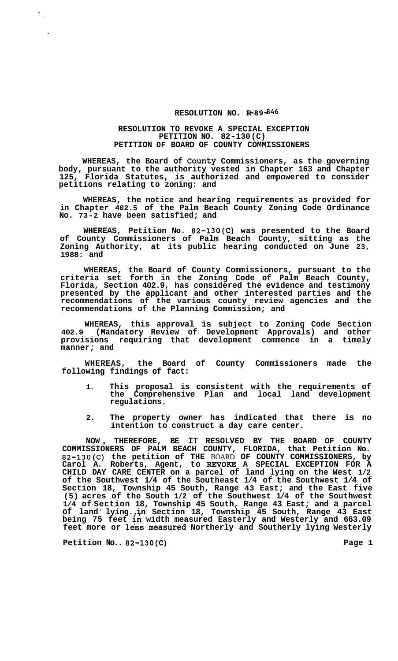## **RESOLUTION NO. R-89-846**

## **RESOLUTION TO REVOKE A SPECIAL EXCEPTION PETITION NO. 82-130 (C) PETITION OF BOARD OF COUNTY COMMISSIONERS**

**WHEREAS, the Board of Caunty Commissioners, as the governing body, pursuant to the authority vested in Chapter 163 and Chapter 125, Florida Statutes, is authorized and empowered to consider petitions relating to zoning: and** 

**WHEREAS, the notice and hearing requirements as provided for in Chapter 402.5 of the Palm Beach County Zoning Code Ordinance No. 73-2 have been satisfied; and** 

**WHEREAS, Petition No. 82-130(C) was presented to the Board of County Commissioners of Palm Beach County, sitting as the Zoning Authority, at its public hearing conducted on June 23, 1988: and** 

**WHEREAS, the Board of County Commissioners, pursuant to the criteria set forth in the Zoning Code of Palm Beach County, Florida, Section 402.9, has considered the evidence and testimony presented by the applicant and other interested parties and the recommendations of the various county review agencies and the recommendations of the Planning Commission; and** 

**WHEREAS, this approval is subject to Zoning Code Section 402.9 (Mandatory Review of Development Approvals) and other provisions requiring that development commence in a timely manner; and** 

**WHEREAS, the Board of County Commissioners made the following findings of fact:** 

- **1. This proposal is consistent with the requirements of the Comprehensive Plan and local land development regulations.**
- **2. The property owner has indicated that there is no intention to construct a day care center.**

**NOW** , **THEREFORE, BE IT RESOLVED BY THE BOARD OF COUNTY COMMISSIONERS OF PALM BEACH COUNTY, FLORIDA, that Petition No. 82-130(C) the petition of THE** BOARD **OF COUNTY COMMISSIONERS, by Carol A. Roberts, Agent, to WOKE A SPECIAL EXCEPTION FOR A CHILD DAY CARE CENTER on a parcel of land lying on the West 1/2 of the Southwest 1/4 of the Southeast 1/4 of the Southwest 1/4 of Section 18, Township 45 South, Range 43 East; and the East five (5) acres of the South 1/2 of the Southwest 1/4 of the Southwest 1/4 of-Section 18, Township 45 South, Range 43 East; and a parcel of land** ' **lying.,, in Section 18, Township 45 South, Range 43 East**  1/4 of Section 18, Township 45 South, Range 43 East; and a parcel<br>of land lying., in Section 18, Township 45 South, Range 43 East<br>being 75 feet in width measured Easterly and Westerly and 663.09<br>feet more or less measured

Petition No.. 82-130(C) **Page 1** 

 $\frac{1}{\sqrt{2}}$ 

 $\ddot{\phantom{a}}$